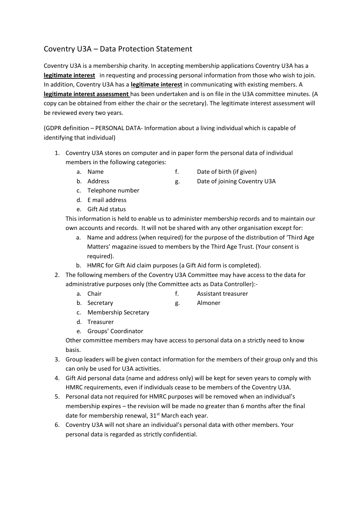## Coventry U3A – Data Protection Statement

Coventry U3A is a membership charity. In accepting membership applications Coventry U3A has a **legitimate interest** in requesting and processing personal information from those who wish to join. In addition, Coventry U3A has a **legitimate interest** in communicating with existing members. A **legitimate interest assessment** has been undertaken and is on file in the U3A committee minutes. (A copy can be obtained from either the chair or the secretary). The legitimate interest assessment will be reviewed every two years.

(GDPR definition – PERSONAL DATA- Information about a living individual which is capable of identifying that individual)

- 1. Coventry U3A stores on computer and in paper form the personal data of individual members in the following categories:
	-
	- a. Name f. Date of birth (if given)
	-
	- b. Address and the set of joining Coventry U3A
	- c. Telephone number
	- d. E mail address
	- e. Gift Aid status

This information is held to enable us to administer membership records and to maintain our own accounts and records. It will not be shared with any other organisation except for:

- a. Name and address (when required) for the purpose of the distribution of 'Third Age Matters' magazine issued to members by the Third Age Trust. (Your consent is required).
- b. HMRC for Gift Aid claim purposes (a Gift Aid form is completed).
- 2. The following members of the Coventry U3A Committee may have access to the data for administrative purposes only (the Committee acts as Data Controller):
	- a. Chair and the state of the Assistant treasurer
	- b. Secretary g. Almoner
	- c. Membership Secretary
	- d. Treasurer
	- e. Groups' Coordinator

Other committee members may have access to personal data on a strictly need to know basis.

- 3. Group leaders will be given contact information for the members of their group only and this can only be used for U3A activities.
- 4. Gift Aid personal data (name and address only) will be kept for seven years to comply with HMRC requirements, even if individuals cease to be members of the Coventry U3A.
- 5. Personal data not required for HMRC purposes will be removed when an individual's membership expires – the revision will be made no greater than 6 months after the final date for membership renewal, 31<sup>st</sup> March each year.
- 6. Coventry U3A will not share an individual's personal data with other members. Your personal data is regarded as strictly confidential.